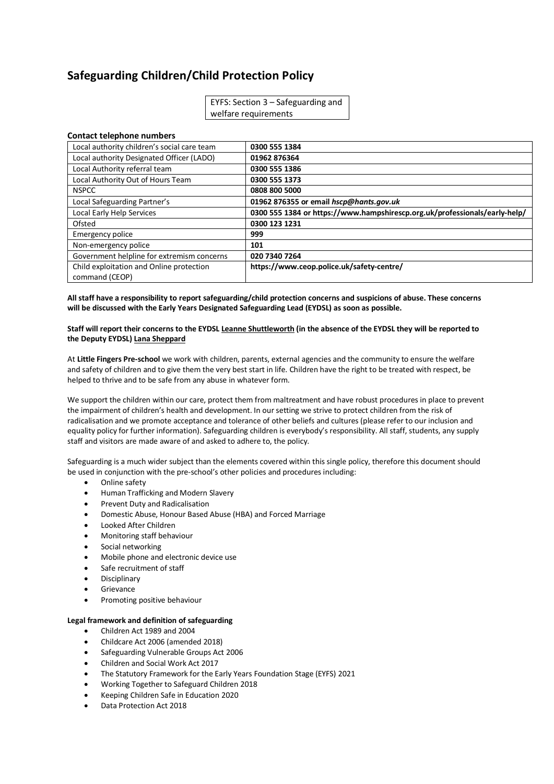# **Safeguarding Children/Child Protection Policy**

| EYFS: Section $3 -$ Safeguarding and |  |
|--------------------------------------|--|
| welfare requirements                 |  |

# **Contact telephone numbers**

| Local authority children's social care team | 0300 555 1384                                                              |
|---------------------------------------------|----------------------------------------------------------------------------|
| Local authority Designated Officer (LADO)   | 01962 876364                                                               |
| Local Authority referral team               | 0300 555 1386                                                              |
| Local Authority Out of Hours Team           | 0300 555 1373                                                              |
| <b>NSPCC</b>                                | 0808 800 5000                                                              |
| Local Safeguarding Partner's                | 01962 876355 or email hscp@hants.gov.uk                                    |
| Local Early Help Services                   | 0300 555 1384 or https://www.hampshirescp.org.uk/professionals/early-help/ |
| Ofsted                                      | 0300 123 1231                                                              |
| Emergency police                            | 999                                                                        |
| Non-emergency police                        | 101                                                                        |
| Government helpline for extremism concerns  | 020 7340 7264                                                              |
| Child exploitation and Online protection    | https://www.ceop.police.uk/safety-centre/                                  |
| command (CEOP)                              |                                                                            |

**All staff have a responsibility to report safeguarding/child protection concerns and suspicions of abuse. These concerns will be discussed with the Early Years Designated Safeguarding Lead (EYDSL) as soon as possible.**

## **Staff will report their concerns to the EYDSL Leanne Shuttleworth (in the absence of the EYDSL they will be reported to the Deputy EYDSL) Lana Sheppard**

At **Little Fingers Pre-school** we work with children, parents, external agencies and the community to ensure the welfare and safety of children and to give them the very best start in life. Children have the right to be treated with respect, be helped to thrive and to be safe from any abuse in whatever form.

We support the children within our care, protect them from maltreatment and have robust procedures in place to prevent the impairment of children's health and development. In our setting we strive to protect children from the risk of radicalisation and we promote acceptance and tolerance of other beliefs and cultures (please refer to our inclusion and equality policy for further information). Safeguarding children is everybody's responsibility. All staff, students, any supply staff and visitors are made aware of and asked to adhere to, the policy.

Safeguarding is a much wider subject than the elements covered within this single policy, therefore this document should be used in conjunction with the pre-school's other policies and procedures including:

- Online safety
- Human Trafficking and Modern Slavery
- Prevent Duty and Radicalisation
- Domestic Abuse, Honour Based Abuse (HBA) and Forced Marriage
- Looked After Children
- Monitoring staff behaviour
- Social networking
- Mobile phone and electronic device use
- Safe recruitment of staff
- **Disciplinary**
- Grievance
- Promoting positive behaviour

# **Legal framework and definition of safeguarding**

- Children Act 1989 and 2004
- Childcare Act 2006 (amended 2018)
- Safeguarding Vulnerable Groups Act 2006
- Children and Social Work Act 2017
- The Statutory Framework for the Early Years Foundation Stage (EYFS) 2021
- Working Together to Safeguard Children 2018
- Keeping Children Safe in Education 2020
- Data Protection Act 2018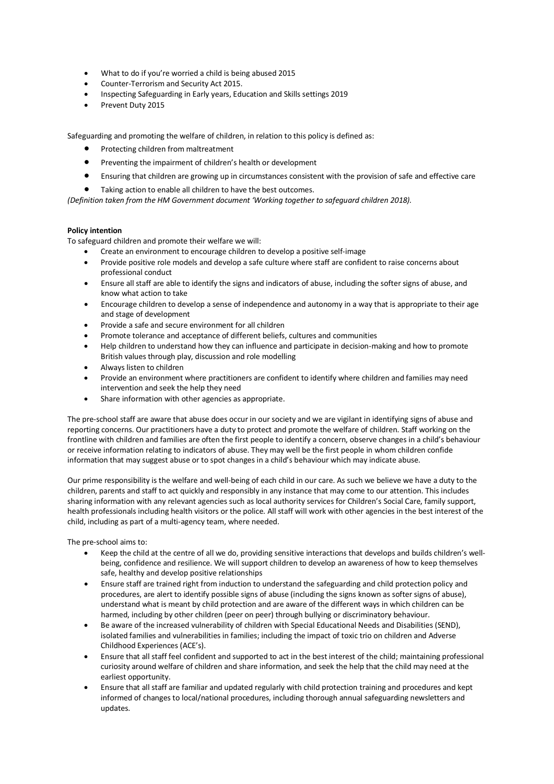- What to do if you're worried a child is being abused 2015
- Counter-Terrorism and Security Act 2015.
- Inspecting Safeguarding in Early years, Education and Skills settings 2019
- Prevent Duty 2015

Safeguarding and promoting the welfare of children, in relation to this policy is defined as:

- Protecting children from maltreatment
- Preventing the impairment of children's health or development
- Ensuring that children are growing up in circumstances consistent with the provision of safe and effective care
- Taking action to enable all children to have the best outcomes.

*(Definition taken from the HM Government document 'Working together to safeguard children 2018).*

## **Policy intention**

To safeguard children and promote their welfare we will:

- Create an environment to encourage children to develop a positive self-image
- Provide positive role models and develop a safe culture where staff are confident to raise concerns about professional conduct
- Ensure all staff are able to identify the signs and indicators of abuse, including the softer signs of abuse, and know what action to take
- Encourage children to develop a sense of independence and autonomy in a way that is appropriate to their age and stage of development
- Provide a safe and secure environment for all children
- Promote tolerance and acceptance of different beliefs, cultures and communities
- Help children to understand how they can influence and participate in decision-making and how to promote British values through play, discussion and role modelling
- Always listen to children
- Provide an environment where practitioners are confident to identify where children and families may need intervention and seek the help they need
- Share information with other agencies as appropriate.

The pre-school staff are aware that abuse does occur in our society and we are vigilant in identifying signs of abuse and reporting concerns. Our practitioners have a duty to protect and promote the welfare of children. Staff working on the frontline with children and families are often the first people to identify a concern, observe changes in a child's behaviour or receive information relating to indicators of abuse. They may well be the first people in whom children confide information that may suggest abuse or to spot changes in a child's behaviour which may indicate abuse.

Our prime responsibility is the welfare and well-being of each child in our care. As such we believe we have a duty to the children, parents and staff to act quickly and responsibly in any instance that may come to our attention. This includes sharing information with any relevant agencies such as local authority services for Children's Social Care, family support, health professionals including health visitors or the police. All staff will work with other agencies in the best interest of the child, including as part of a multi-agency team, where needed.

The pre-school aims to:

- Keep the child at the centre of all we do, providing sensitive interactions that develops and builds children's wellbeing, confidence and resilience. We will support children to develop an awareness of how to keep themselves safe, healthy and develop positive relationships
- Ensure staff are trained right from induction to understand the safeguarding and child protection policy and procedures, are alert to identify possible signs of abuse (including the signs known as softer signs of abuse), understand what is meant by child protection and are aware of the different ways in which children can be harmed, including by other children (peer on peer) through bullying or discriminatory behaviour.
- Be aware of the increased vulnerability of children with Special Educational Needs and Disabilities (SEND), isolated families and vulnerabilities in families; including the impact of toxic trio on children and Adverse Childhood Experiences (ACE's).
- Ensure that all staff feel confident and supported to act in the best interest of the child; maintaining professional curiosity around welfare of children and share information, and seek the help that the child may need at the earliest opportunity.
- Ensure that all staff are familiar and updated regularly with child protection training and procedures and kept informed of changes to local/national procedures, including thorough annual safeguarding newsletters and updates.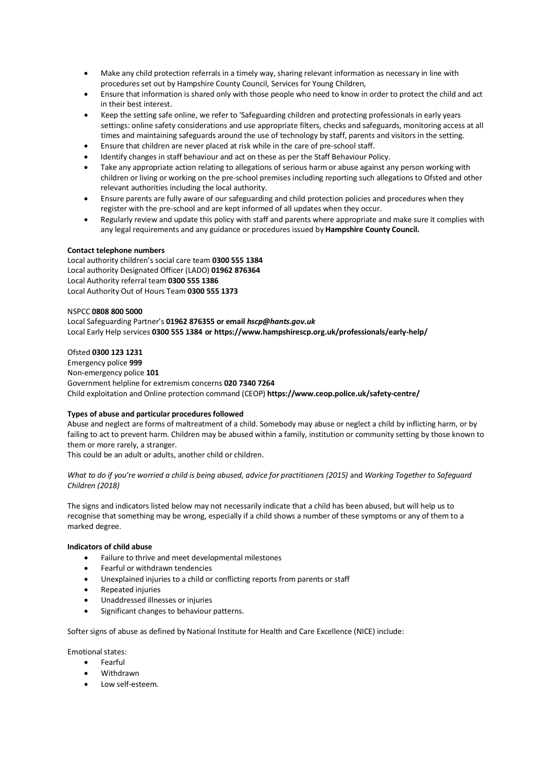- Make any child protection referrals in a timely way, sharing relevant information as necessary in line with procedures set out by Hampshire County Council, Services for Young Children,
- Ensure that information is shared only with those people who need to know in order to protect the child and act in their best interest.
- Keep the setting safe online, we refer to 'Safeguarding children and protecting professionals in early years settings: online safety considerations and use appropriate filters, checks and safeguards, monitoring access at all times and maintaining safeguards around the use of technology by staff, parents and visitors in the setting.
- Ensure that children are never placed at risk while in the care of pre-school staff.
- Identify changes in staff behaviour and act on these as per the Staff Behaviour Policy.
- Take any appropriate action relating to allegations of serious harm or abuse against any person working with children or living or working on the pre-school premises including reporting such allegations to Ofsted and other relevant authorities including the local authority.
- Ensure parents are fully aware of our safeguarding and child protection policies and procedures when they register with the pre-school and are kept informed of all updates when they occur.
- Regularly review and update this policy with staff and parents where appropriate and make sure it complies with any legal requirements and any guidance or procedures issued by **Hampshire County Council.**

# **Contact telephone numbers**

Local authority children's social care team **0300 555 1384** Local authority Designated Officer (LADO) **01962 876364** Local Authority referral team **0300 555 1386** Local Authority Out of Hours Team **0300 555 1373**

# NSPCC **0808 800 5000**

Local Safeguarding Partner's **01962 876355 or email** *hscp@hants.gov.uk* Local Early Help services **0300 555 1384 or https://www.hampshirescp.org.uk/professionals/early-help/**

# Ofsted **0300 123 1231**

Emergency police **999** Non-emergency police **101**  Government helpline for extremism concerns **020 7340 7264** Child exploitation and Online protection command (CEOP) **https://www.ceop.police.uk/safety-centre/**

# **Types of abuse and particular procedures followed**

Abuse and neglect are forms of maltreatment of a child. Somebody may abuse or neglect a child by inflicting harm, or by failing to act to prevent harm. Children may be abused within a family, institution or community setting by those known to them or more rarely, a stranger.

This could be an adult or adults, another child or children.

*What to do if you're worried a child is being abused, advice for practitioners (2015)* and *Working Together to Safeguard Children (2018)*

The signs and indicators listed below may not necessarily indicate that a child has been abused, but will help us to recognise that something may be wrong, especially if a child shows a number of these symptoms or any of them to a marked degree.

# **Indicators of child abuse**

- Failure to thrive and meet developmental milestones
- Fearful or withdrawn tendencies
- Unexplained injuries to a child or conflicting reports from parents or staff
- Repeated injuries
- Unaddressed illnesses or injuries
- Significant changes to behaviour patterns.

Softer signs of abuse as defined by National Institute for Health and Care Excellence (NICE) include:

# Emotional states:

- Fearful
- Withdrawn
- Low self-esteem.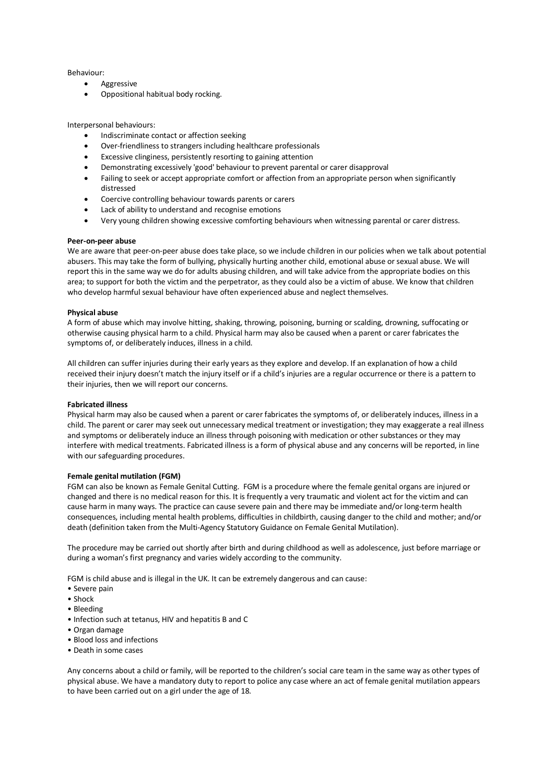## Behaviour:

- **Aggressive**
- Oppositional habitual body rocking.

Interpersonal behaviours:

- Indiscriminate contact or affection seeking
- Over-friendliness to strangers including healthcare professionals
- Excessive clinginess, persistently resorting to gaining attention
- Demonstrating excessively 'good' behaviour to prevent parental or carer disapproval
- Failing to seek or accept appropriate comfort or affection from an appropriate person when significantly distressed
- Coercive controlling behaviour towards parents or carers
- Lack of ability to understand and recognise emotions
- Very young children showing excessive comforting behaviours when witnessing parental or carer distress.

## **Peer-on-peer abuse**

We are aware that peer-on-peer abuse does take place, so we include children in our policies when we talk about potential abusers. This may take the form of bullying, physically hurting another child, emotional abuse or sexual abuse. We will report this in the same way we do for adults abusing children, and will take advice from the appropriate bodies on this area; to support for both the victim and the perpetrator, as they could also be a victim of abuse. We know that children who develop harmful sexual behaviour have often experienced abuse and neglect themselves.

## **Physical abuse**

A form of abuse which may involve hitting, shaking, throwing, poisoning, burning or scalding, drowning, suffocating or otherwise causing physical harm to a child. Physical harm may also be caused when a parent or carer fabricates the symptoms of, or deliberately induces, illness in a child.

All children can suffer injuries during their early years as they explore and develop. If an explanation of how a child received their injury doesn't match the injury itself or if a child's injuries are a regular occurrence or there is a pattern to their injuries, then we will report our concerns.

## **Fabricated illness**

Physical harm may also be caused when a parent or carer fabricates the symptoms of, or deliberately induces, illness in a child. The parent or carer may seek out unnecessary medical treatment or investigation; they may exaggerate a real illness and symptoms or deliberately induce an illness through poisoning with medication or other substances or they may interfere with medical treatments. Fabricated illness is a form of physical abuse and any concerns will be reported, in line with our safeguarding procedures.

### **Female genital mutilation (FGM)**

FGM can also be known as Female Genital Cutting. FGM is a procedure where the female genital organs are injured or changed and there is no medical reason for this. It is frequently a very traumatic and violent act for the victim and can cause harm in many ways. The practice can cause severe pain and there may be immediate and/or long-term health consequences, including mental health problems, difficulties in childbirth, causing danger to the child and mother; and/or death (definition taken from the Multi-Agency Statutory Guidance on Female Genital Mutilation).

The procedure may be carried out shortly after birth and during childhood as well as adolescence, just before marriage or during a woman's first pregnancy and varies widely according to the community.

FGM is child abuse and is illegal in the UK. It can be extremely dangerous and can cause:

- Severe pain
- Shock
- Bleeding
- Infection such at tetanus, HIV and hepatitis B and C
- Organ damage
- Blood loss and infections
- Death in some cases

Any concerns about a child or family, will be reported to the children's social care team in the same way as other types of physical abuse. We have a mandatory duty to report to police any case where an act of female genital mutilation appears to have been carried out on a girl under the age of 18.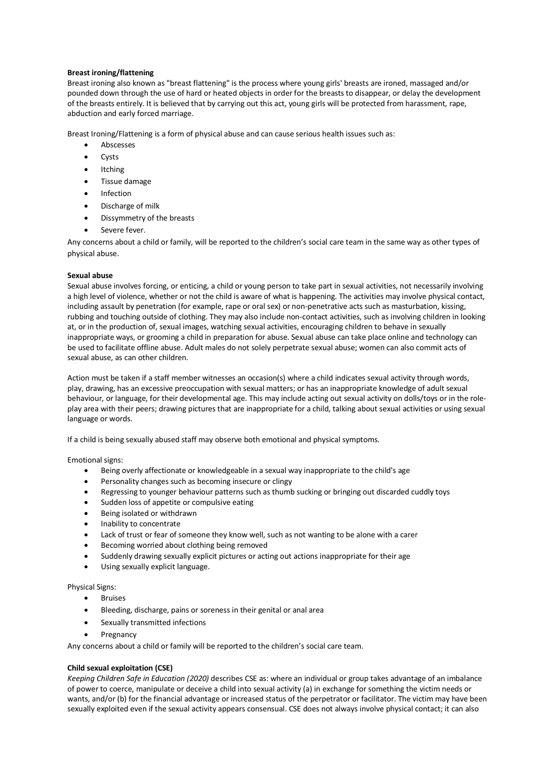# **Breast ironing/flattening**

Breast ironing also known as "breast flattening" is the process where young girls' breasts are ironed, massaged and/or pounded down through the use of hard or heated objects in order for the breasts to disappear, or delay the development of the breasts entirely. It is believed that by carrying out this act, young girls will be protected from harassment, rape, abduction and early forced marriage.

Breast Ironing/Flattening is a form of physical abuse and can cause serious health issues such as:

- Abscesses
- Cysts
- Itching
- Tissue damage
- Infection
- Discharge of milk
- Dissymmetry of the breasts
- Severe fever.

Any concerns about a child or family, will be reported to the children's social care team in the same way as other types of physical abuse.

# **Sexual abuse**

Sexual abuse involves forcing, or enticing, a child or young person to take part in sexual activities, not necessarily involving a high level of violence, whether or not the child is aware of what is happening. The activities may involve physical contact, including assault by penetration (for example, rape or oral sex) or non-penetrative acts such as masturbation, kissing, rubbing and touching outside of clothing. They may also include non-contact activities, such as involving children in looking at, or in the production of, sexual images, watching sexual activities, encouraging children to behave in sexually inappropriate ways, or grooming a child in preparation for abuse. Sexual abuse can take place online and technology can be used to facilitate offline abuse. Adult males do not solely perpetrate sexual abuse; women can also commit acts of sexual abuse, as can other children.

Action must be taken if a staff member witnesses an occasion(s) where a child indicates sexual activity through words, play, drawing, has an excessive preoccupation with sexual matters; or has an inappropriate knowledge of adult sexual behaviour, or language, for their developmental age. This may include acting out sexual activity on dolls/toys or in the roleplay area with their peers; drawing pictures that are inappropriate for a child, talking about sexual activities or using sexual language or words.

If a child is being sexually abused staff may observe both emotional and physical symptoms.

Emotional signs:

- Being overly affectionate or knowledgeable in a sexual way inappropriate to the child's age
- Personality changes such as becoming insecure or clingy
- Regressing to younger behaviour patterns such as thumb sucking or bringing out discarded cuddly toys
- Sudden loss of appetite or compulsive eating
- Being isolated or withdrawn
- Inability to concentrate
- Lack of trust or fear of someone they know well, such as not wanting to be alone with a carer
- Becoming worried about clothing being removed
- Suddenly drawing sexually explicit pictures or acting out actions inappropriate for their age
- Using sexually explicit language.

Physical Signs:

- Bruises
- Bleeding, discharge, pains or soreness in their genital or anal area
- Sexually transmitted infections
- **Pregnancy**

Any concerns about a child or family will be reported to the children's social care team.

# **Child sexual exploitation (CSE)**

*Keeping Children Safe in Education (2020)* describes CSE as: where an individual or group takes advantage of an imbalance of power to coerce, manipulate or deceive a child into sexual activity (a) in exchange for something the victim needs or wants, and/or (b) for the financial advantage or increased status of the perpetrator or facilitator. The victim may have been sexually exploited even if the sexual activity appears consensual. CSE does not always involve physical contact; it can also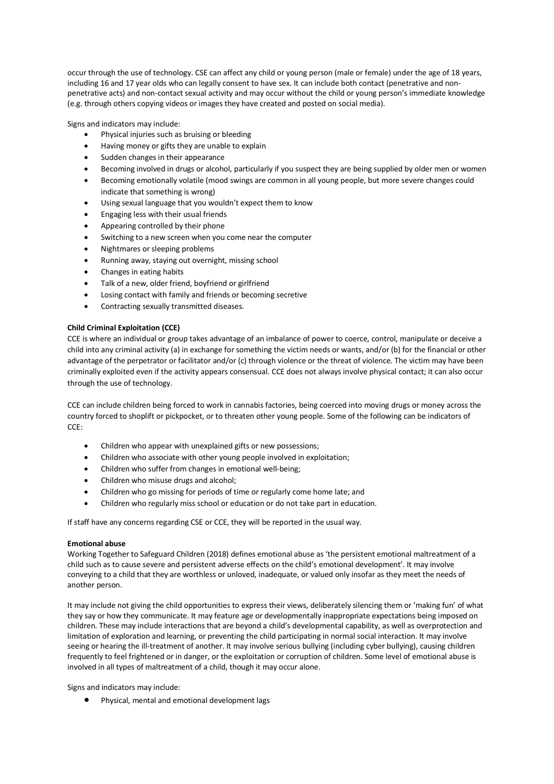occur through the use of technology. CSE can affect any child or young person (male or female) under the age of 18 years, including 16 and 17 year olds who can legally consent to have sex. It can include both contact (penetrative and nonpenetrative acts) and non-contact sexual activity and may occur without the child or young person's immediate knowledge (e.g. through others copying videos or images they have created and posted on social media).

Signs and indicators may include:

- Physical injuries such as bruising or bleeding
- Having money or gifts they are unable to explain
- Sudden changes in their appearance
- Becoming involved in drugs or alcohol, particularly if you suspect they are being supplied by older men or women
- Becoming emotionally volatile (mood swings are common in all young people, but more severe changes could indicate that something is wrong)
- Using sexual language that you wouldn't expect them to know
- Engaging less with their usual friends
- Appearing controlled by their phone
- Switching to a new screen when you come near the computer
- Nightmares or sleeping problems
- Running away, staying out overnight, missing school
- Changes in eating habits
- Talk of a new, older friend, boyfriend or girlfriend
- Losing contact with family and friends or becoming secretive
- Contracting sexually transmitted diseases.

# **Child Criminal Exploitation (CCE)**

CCE is where an individual or group takes advantage of an imbalance of power to coerce, control, manipulate or deceive a child into any criminal activity (a) in exchange for something the victim needs or wants, and/or (b) for the financial or other advantage of the perpetrator or facilitator and/or (c) through violence or the threat of violence. The victim may have been criminally exploited even if the activity appears consensual. CCE does not always involve physical contact; it can also occur through the use of technology.

CCE can include children being forced to work in cannabis factories, being coerced into moving drugs or money across the country forced to shoplift or pickpocket, or to threaten other young people. Some of the following can be indicators of CCE:

- Children who appear with unexplained gifts or new possessions;
- Children who associate with other young people involved in exploitation;
- Children who suffer from changes in emotional well-being;
- Children who misuse drugs and alcohol;
- Children who go missing for periods of time or regularly come home late; and
- Children who regularly miss school or education or do not take part in education.

If staff have any concerns regarding CSE or CCE, they will be reported in the usual way.

## **Emotional abuse**

Working Together to Safeguard Children (2018) defines emotional abuse as 'the persistent emotional maltreatment of a child such as to cause severe and persistent adverse effects on the child's emotional development'. It may involve conveying to a child that they are worthless or unloved, inadequate, or valued only insofar as they meet the needs of another person.

It may include not giving the child opportunities to express their views, deliberately silencing them or 'making fun' of what they say or how they communicate. It may feature age or developmentally inappropriate expectations being imposed on children. These may include interactions that are beyond a child's developmental capability, as well as overprotection and limitation of exploration and learning, or preventing the child participating in normal social interaction. It may involve seeing or hearing the ill-treatment of another. It may involve serious bullying (including cyber bullying), causing children frequently to feel frightened or in danger, or the exploitation or corruption of children. Some level of emotional abuse is involved in all types of maltreatment of a child, though it may occur alone.

Signs and indicators may include:

• Physical, mental and emotional development lags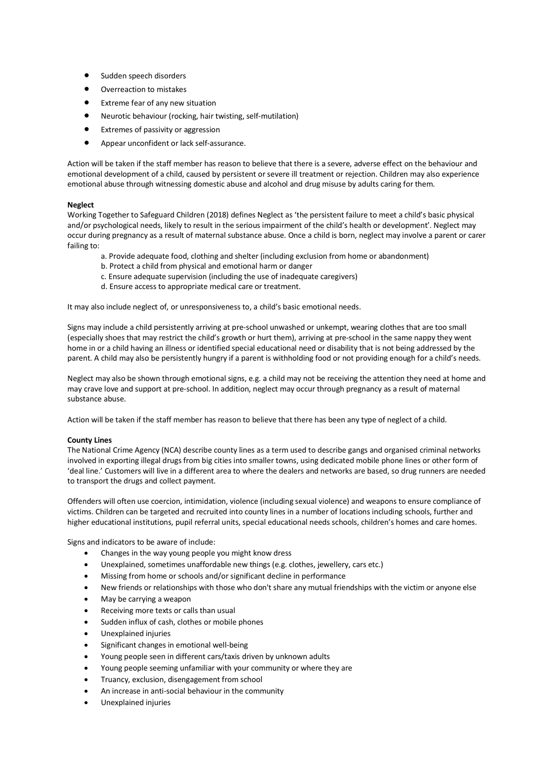- Sudden speech disorders
- Overreaction to mistakes
- Extreme fear of any new situation
- Neurotic behaviour (rocking, hair twisting, self-mutilation)
- Extremes of passivity or aggression
- Appear unconfident or lack self-assurance.

Action will be taken if the staff member has reason to believe that there is a severe, adverse effect on the behaviour and emotional development of a child, caused by persistent or severe ill treatment or rejection. Children may also experience emotional abuse through witnessing domestic abuse and alcohol and drug misuse by adults caring for them.

# **Neglect**

Working Together to Safeguard Children (2018) defines Neglect as 'the persistent failure to meet a child's basic physical and/or psychological needs, likely to result in the serious impairment of the child's health or development'. Neglect may occur during pregnancy as a result of maternal substance abuse. Once a child is born, neglect may involve a parent or carer failing to:

- a. Provide adequate food, clothing and shelter (including exclusion from home or abandonment)
- b. Protect a child from physical and emotional harm or danger
- c. Ensure adequate supervision (including the use of inadequate caregivers)
- d. Ensure access to appropriate medical care or treatment.

It may also include neglect of, or unresponsiveness to, a child's basic emotional needs.

Signs may include a child persistently arriving at pre-school unwashed or unkempt, wearing clothes that are too small (especially shoes that may restrict the child's growth or hurt them), arriving at pre-school in the same nappy they went home in or a child having an illness or identified special educational need or disability that is not being addressed by the parent. A child may also be persistently hungry if a parent is withholding food or not providing enough for a child's needs.

Neglect may also be shown through emotional signs, e.g. a child may not be receiving the attention they need at home and may crave love and support at pre-school. In addition, neglect may occur through pregnancy as a result of maternal substance abuse.

Action will be taken if the staff member has reason to believe that there has been any type of neglect of a child.

# **County Lines**

The National Crime Agency (NCA) describe county lines as a term used to describe gangs and organised criminal networks involved in exporting illegal drugs from big cities into smaller towns, using dedicated mobile phone lines or other form of 'deal line.' Customers will live in a different area to where the dealers and networks are based, so drug runners are needed to transport the drugs and collect payment.

Offenders will often use coercion, intimidation, violence (including sexual violence) and weapons to ensure compliance of victims. Children can be targeted and recruited into county lines in a number of locations including schools, further and higher educational institutions, pupil referral units, special educational needs schools, children's homes and care homes.

Signs and indicators to be aware of include:

- Changes in the way young people you might know dress
- Unexplained, sometimes unaffordable new things (e.g. clothes, jewellery, cars etc.)
- Missing from home or schools and/or significant decline in performance
- New friends or relationships with those who don't share any mutual friendships with the victim or anyone else
- May be carrying a weapon
- Receiving more texts or calls than usual
- Sudden influx of cash, clothes or mobile phones
- Unexplained injuries
- Significant changes in emotional well-being
- Young people seen in different cars/taxis driven by unknown adults
- Young people seeming unfamiliar with your community or where they are
- Truancy, exclusion, disengagement from school
- An increase in anti-social behaviour in the community
- Unexplained injuries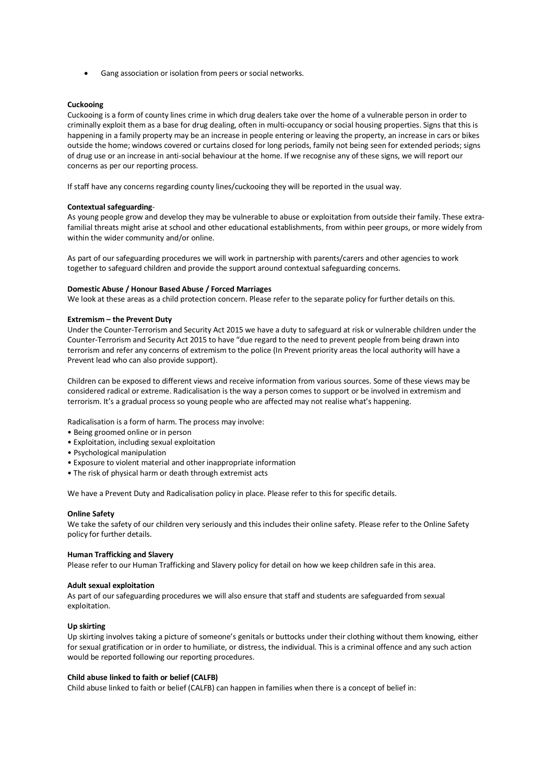• Gang association or isolation from peers or social networks.

## **Cuckooing**

Cuckooing is a form of county lines crime in which drug dealers take over the home of a vulnerable person in order to criminally exploit them as a base for drug dealing, often in multi-occupancy or social housing properties. Signs that this is happening in a family property may be an increase in people entering or leaving the property, an increase in cars or bikes outside the home; windows covered or curtains closed for long periods, family not being seen for extended periods; signs of drug use or an increase in anti-social behaviour at the home. If we recognise any of these signs, we will report our concerns as per our reporting process.

If staff have any concerns regarding county lines/cuckooing they will be reported in the usual way.

#### **Contextual safeguarding**-

As young people grow and develop they may be vulnerable to abuse or exploitation from outside their family. These extrafamilial threats might arise at school and other educational establishments, from within peer groups, or more widely from within the wider community and/or online.

As part of our safeguarding procedures we will work in partnership with parents/carers and other agencies to work together to safeguard children and provide the support around contextual safeguarding concerns.

## **Domestic Abuse / Honour Based Abuse / Forced Marriages**

We look at these areas as a child protection concern. Please refer to the separate policy for further details on this.

## **Extremism – the Prevent Duty**

Under the Counter-Terrorism and Security Act 2015 we have a duty to safeguard at risk or vulnerable children under the Counter-Terrorism and Security Act 2015 to have "due regard to the need to prevent people from being drawn into terrorism and refer any concerns of extremism to the police (In Prevent priority areas the local authority will have a Prevent lead who can also provide support).

Children can be exposed to different views and receive information from various sources. Some of these views may be considered radical or extreme. Radicalisation is the way a person comes to support or be involved in extremism and terrorism. It's a gradual process so young people who are affected may not realise what's happening.

Radicalisation is a form of harm. The process may involve:

- Being groomed online or in person
- Exploitation, including sexual exploitation
- Psychological manipulation
- Exposure to violent material and other inappropriate information
- The risk of physical harm or death through extremist acts

We have a Prevent Duty and Radicalisation policy in place. Please refer to this for specific details.

### **Online Safety**

We take the safety of our children very seriously and this includes their online safety. Please refer to the Online Safety policy for further details.

### **Human Trafficking and Slavery**

Please refer to our Human Trafficking and Slavery policy for detail on how we keep children safe in this area.

## **Adult sexual exploitation**

As part of our safeguarding procedures we will also ensure that staff and students are safeguarded from sexual exploitation.

## **Up skirting**

Up skirting involves taking a picture of someone's genitals or buttocks under their clothing without them knowing, either for sexual gratification or in order to humiliate, or distress, the individual. This is a criminal offence and any such action would be reported following our reporting procedures.

# **Child abuse linked to faith or belief (CALFB)**

Child abuse linked to faith or belief (CALFB) can happen in families when there is a concept of belief in: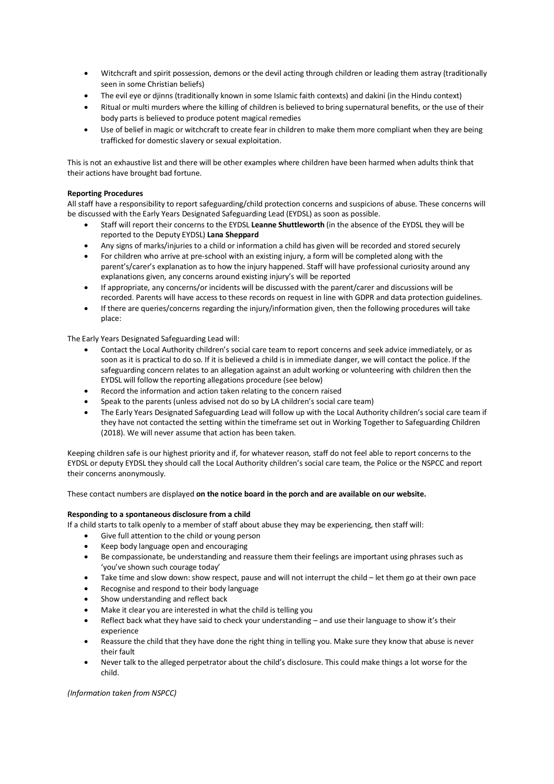- Witchcraft and spirit possession, demons or the devil acting through children or leading them astray (traditionally seen in some Christian beliefs)
- The evil eye or djinns (traditionally known in some Islamic faith contexts) and dakini (in the Hindu context)
- Ritual or multi murders where the killing of children is believed to bring supernatural benefits, or the use of their body parts is believed to produce potent magical remedies
- Use of belief in magic or witchcraft to create fear in children to make them more compliant when they are being trafficked for domestic slavery or sexual exploitation.

This is not an exhaustive list and there will be other examples where children have been harmed when adults think that their actions have brought bad fortune.

# **Reporting Procedures**

All staff have a responsibility to report safeguarding/child protection concerns and suspicions of abuse. These concerns will be discussed with the Early Years Designated Safeguarding Lead (EYDSL) as soon as possible.

- Staff will report their concerns to the EYDSL **Leanne Shuttleworth** (in the absence of the EYDSL they will be reported to the Deputy EYDSL) **Lana Sheppard**
- Any signs of marks/injuries to a child or information a child has given will be recorded and stored securely
- For children who arrive at pre-school with an existing injury, a form will be completed along with the parent's/carer's explanation as to how the injury happened. Staff will have professional curiosity around any explanations given, any concerns around existing injury's will be reported
- If appropriate, any concerns/or incidents will be discussed with the parent/carer and discussions will be recorded. Parents will have access to these records on request in line with GDPR and data protection guidelines.
- If there are queries/concerns regarding the injury/information given, then the following procedures will take place:

The Early Years Designated Safeguarding Lead will:

- Contact the Local Authority children's social care team to report concerns and seek advice immediately, or as soon as it is practical to do so. If it is believed a child is in immediate danger, we will contact the police. If the safeguarding concern relates to an allegation against an adult working or volunteering with children then the EYDSL will follow the reporting allegations procedure (see below)
- Record the information and action taken relating to the concern raised
- Speak to the parents (unless advised not do so by LA children's social care team)
- The Early Years Designated Safeguarding Lead will follow up with the Local Authority children's social care team if they have not contacted the setting within the timeframe set out in Working Together to Safeguarding Children (2018). We will never assume that action has been taken.

Keeping children safe is our highest priority and if, for whatever reason, staff do not feel able to report concerns to the EYDSL or deputy EYDSL they should call the Local Authority children's social care team, the Police or the NSPCC and report their concerns anonymously.

These contact numbers are displayed **on the notice board in the porch and are available on our website.**

# **Responding to a spontaneous disclosure from a child**

If a child starts to talk openly to a member of staff about abuse they may be experiencing, then staff will:

- Give full attention to the child or young person
- Keep body language open and encouraging
- Be compassionate, be understanding and reassure them their feelings are important using phrases such as 'you've shown such courage today'
- Take time and slow down: show respect, pause and will not interrupt the child let them go at their own pace
- Recognise and respond to their body language
- Show understanding and reflect back
- Make it clear you are interested in what the child is telling you
- Reflect back what they have said to check your understanding and use their language to show it's their experience
- Reassure the child that they have done the right thing in telling you. Make sure they know that abuse is never their fault
- Never talk to the alleged perpetrator about the child's disclosure. This could make things a lot worse for the child.

# *(Information taken from NSPCC)*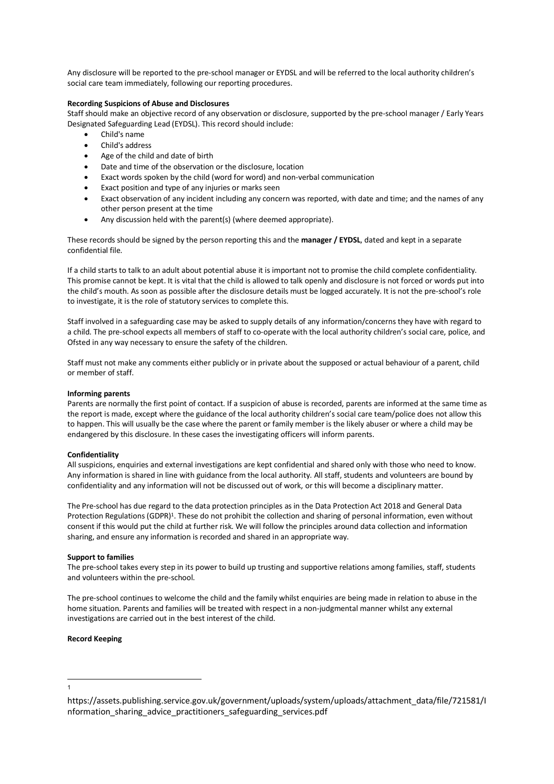Any disclosure will be reported to the pre-school manager or EYDSL and will be referred to the local authority children's social care team immediately, following our reporting procedures.

# **Recording Suspicions of Abuse and Disclosures**

Staff should make an objective record of any observation or disclosure, supported by the pre-school manager / Early Years Designated Safeguarding Lead (EYDSL). This record should include:

- Child's name
- Child's address
- Age of the child and date of birth
- Date and time of the observation or the disclosure, location
- Exact words spoken by the child (word for word) and non-verbal communication
- Exact position and type of any injuries or marks seen
- Exact observation of any incident including any concern was reported, with date and time; and the names of any other person present at the time
- Any discussion held with the parent(s) (where deemed appropriate).

These records should be signed by the person reporting this and the **manager / EYDSL**, dated and kept in a separate confidential file.

If a child starts to talk to an adult about potential abuse it is important not to promise the child complete confidentiality. This promise cannot be kept. It is vital that the child is allowed to talk openly and disclosure is not forced or words put into the child's mouth. As soon as possible after the disclosure details must be logged accurately. It is not the pre-school's role to investigate, it is the role of statutory services to complete this.

Staff involved in a safeguarding case may be asked to supply details of any information/concerns they have with regard to a child. The pre-school expects all members of staff to co-operate with the local authority children's social care, police, and Ofsted in any way necessary to ensure the safety of the children.

Staff must not make any comments either publicly or in private about the supposed or actual behaviour of a parent, child or member of staff.

### **Informing parents**

Parents are normally the first point of contact. If a suspicion of abuse is recorded, parents are informed at the same time as the report is made, except where the guidance of the local authority children's social care team/police does not allow this to happen. This will usually be the case where the parent or family member is the likely abuser or where a child may be endangered by this disclosure. In these cases the investigating officers will inform parents.

# **Confidentiality**

All suspicions, enquiries and external investigations are kept confidential and shared only with those who need to know. Any information is shared in line with guidance from the local authority. All staff, students and volunteers are bound by confidentiality and any information will not be discussed out of work, or this will become a disciplinary matter.

The Pre-school has due regard to the data protection principles as in the Data Protection Act 2018 and General Data Protection Regulations (GDPR)<sup>1</sup>. These do not prohibit the collection and sharing of personal information, even without consent if this would put the child at further risk. We will follow the principles around data collection and information sharing, and ensure any information is recorded and shared in an appropriate way.

### **Support to families**

The pre-school takes every step in its power to build up trusting and supportive relations among families, staff, students and volunteers within the pre-school.

The pre-school continues to welcome the child and the family whilst enquiries are being made in relation to abuse in the home situation. Parents and families will be treated with respect in a non-judgmental manner whilst any external investigations are carried out in the best interest of the child.

### **Record Keeping**

 $\frac{1}{1}$ 

https://assets.publishing.service.gov.uk/government/uploads/system/uploads/attachment\_data/file/721581/I nformation\_sharing\_advice\_practitioners\_safeguarding\_services.pdf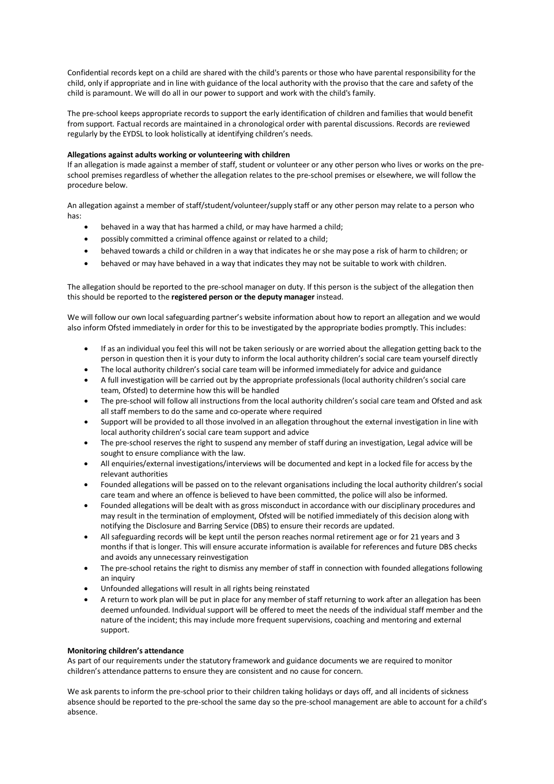Confidential records kept on a child are shared with the child's parents or those who have parental responsibility for the child, only if appropriate and in line with guidance of the local authority with the proviso that the care and safety of the child is paramount. We will do all in our power to support and work with the child's family.

The pre-school keeps appropriate records to support the early identification of children and families that would benefit from support. Factual records are maintained in a chronological order with parental discussions. Records are reviewed regularly by the EYDSL to look holistically at identifying children's needs.

## **Allegations against adults working or volunteering with children**

If an allegation is made against a member of staff, student or volunteer or any other person who lives or works on the preschool premises regardless of whether the allegation relates to the pre-school premises or elsewhere, we will follow the procedure below.

An allegation against a member of staff/student/volunteer/supply staff or any other person may relate to a person who has:

- behaved in a way that has harmed a child, or may have harmed a child;
- possibly committed a criminal offence against or related to a child;
- behaved towards a child or children in a way that indicates he or she may pose a risk of harm to children; or
- behaved or may have behaved in a way that indicates they may not be suitable to work with children.

The allegation should be reported to the pre-school manager on duty. If this person is the subject of the allegation then this should be reported to the **registered person or the deputy manager** instead.

We will follow our own local safeguarding partner's website information about how to report an allegation and we would also inform Ofsted immediately in order for this to be investigated by the appropriate bodies promptly. This includes:

- If as an individual you feel this will not be taken seriously or are worried about the allegation getting back to the person in question then it is your duty to inform the local authority children's social care team yourself directly
- The local authority children's social care team will be informed immediately for advice and guidance
- A full investigation will be carried out by the appropriate professionals (local authority children's social care team, Ofsted) to determine how this will be handled
- The pre-school will follow all instructions from the local authority children's social care team and Ofsted and ask all staff members to do the same and co-operate where required
- Support will be provided to all those involved in an allegation throughout the external investigation in line with local authority children's social care team support and advice
- The pre-school reserves the right to suspend any member of staff during an investigation, Legal advice will be sought to ensure compliance with the law.
- All enquiries/external investigations/interviews will be documented and kept in a locked file for access by the relevant authorities
- Founded allegations will be passed on to the relevant organisations including the local authority children's social care team and where an offence is believed to have been committed, the police will also be informed.
- Founded allegations will be dealt with as gross misconduct in accordance with our disciplinary procedures and may result in the termination of employment, Ofsted will be notified immediately of this decision along with notifying the Disclosure and Barring Service (DBS) to ensure their records are updated.
- All safeguarding records will be kept until the person reaches normal retirement age or for 21 years and 3 months if that is longer. This will ensure accurate information is available for references and future DBS checks and avoids any unnecessary reinvestigation
- The pre-school retains the right to dismiss any member of staff in connection with founded allegations following an inquiry
- Unfounded allegations will result in all rights being reinstated
- A return to work plan will be put in place for any member of staff returning to work after an allegation has been deemed unfounded. Individual support will be offered to meet the needs of the individual staff member and the nature of the incident; this may include more frequent supervisions, coaching and mentoring and external support.

# **Monitoring children's attendance**

As part of our requirements under the statutory framework and guidance documents we are required to monitor children's attendance patterns to ensure they are consistent and no cause for concern.

We ask parents to inform the pre-school prior to their children taking holidays or days off, and all incidents of sickness absence should be reported to the pre-school the same day so the pre-school management are able to account for a child's absence.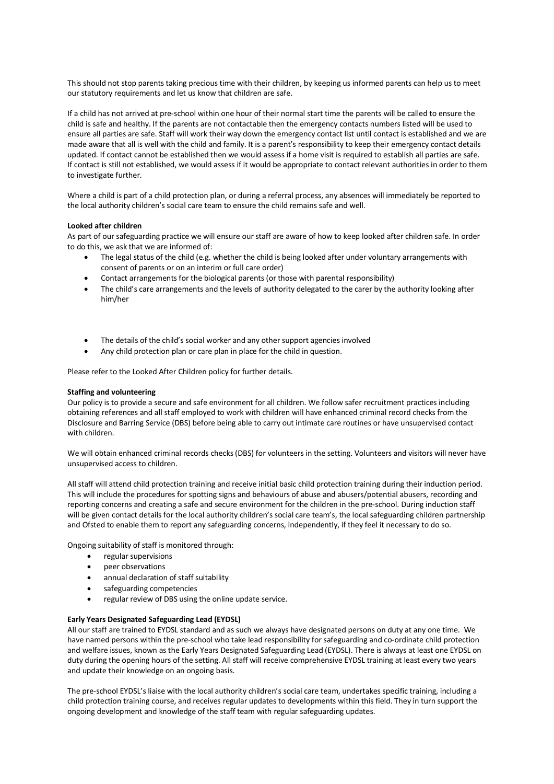This should not stop parents taking precious time with their children, by keeping us informed parents can help us to meet our statutory requirements and let us know that children are safe.

If a child has not arrived at pre-school within one hour of their normal start time the parents will be called to ensure the child is safe and healthy. If the parents are not contactable then the emergency contacts numbers listed will be used to ensure all parties are safe. Staff will work their way down the emergency contact list until contact is established and we are made aware that all is well with the child and family. It is a parent's responsibility to keep their emergency contact details updated. If contact cannot be established then we would assess if a home visit is required to establish all parties are safe. If contact is still not established, we would assess if it would be appropriate to contact relevant authorities in order to them to investigate further.

Where a child is part of a child protection plan, or during a referral process, any absences will immediately be reported to the local authority children's social care team to ensure the child remains safe and well.

## **Looked after children**

As part of our safeguarding practice we will ensure our staff are aware of how to keep looked after children safe. In order to do this, we ask that we are informed of:

- The legal status of the child (e.g. whether the child is being looked after under voluntary arrangements with consent of parents or on an interim or full care order)
- Contact arrangements for the biological parents (or those with parental responsibility)
- The child's care arrangements and the levels of authority delegated to the carer by the authority looking after him/her
- The details of the child's social worker and any other support agencies involved
- Any child protection plan or care plan in place for the child in question.

Please refer to the Looked After Children policy for further details.

### **Staffing and volunteering**

Our policy is to provide a secure and safe environment for all children. We follow safer recruitment practices including obtaining references and all staff employed to work with children will have enhanced criminal record checks from the Disclosure and Barring Service (DBS) before being able to carry out intimate care routines or have unsupervised contact with children.

We will obtain enhanced criminal records checks (DBS) for volunteers in the setting. Volunteers and visitors will never have unsupervised access to children.

All staff will attend child protection training and receive initial basic child protection training during their induction period. This will include the procedures for spotting signs and behaviours of abuse and abusers/potential abusers, recording and reporting concerns and creating a safe and secure environment for the children in the pre-school. During induction staff will be given contact details for the local authority children's social care team's, the local safeguarding children partnership and Ofsted to enable them to report any safeguarding concerns, independently, if they feel it necessary to do so.

Ongoing suitability of staff is monitored through:

- regular supervisions
- peer observations
- annual declaration of staff suitability
- safeguarding competencies
- regular review of DBS using the online update service.

## **Early Years Designated Safeguarding Lead (EYDSL)**

All our staff are trained to EYDSL standard and as such we always have designated persons on duty at any one time. We have named persons within the pre-school who take lead responsibility for safeguarding and co-ordinate child protection and welfare issues, known as the Early Years Designated Safeguarding Lead (EYDSL). There is always at least one EYDSL on duty during the opening hours of the setting. All staff will receive comprehensive EYDSL training at least every two years and update their knowledge on an ongoing basis.

The pre-school EYDSL's liaise with the local authority children's social care team, undertakes specific training, including a child protection training course, and receives regular updates to developments within this field. They in turn support the ongoing development and knowledge of the staff team with regular safeguarding updates.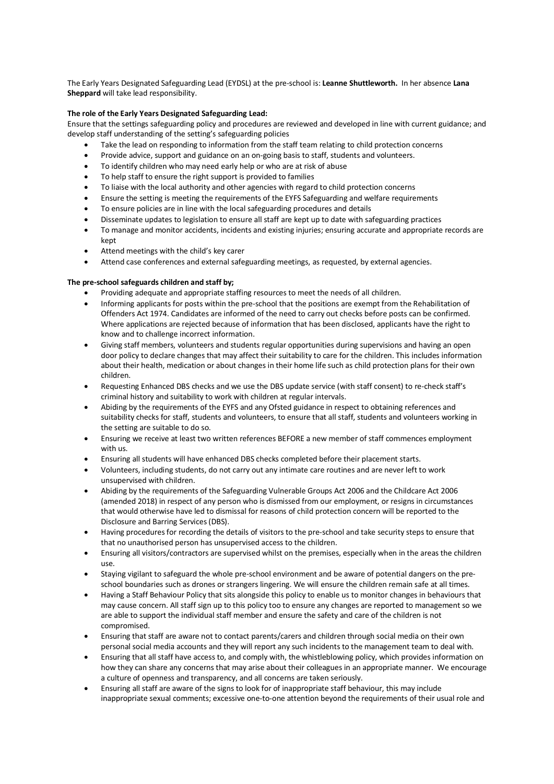The Early Years Designated Safeguarding Lead (EYDSL) at the pre-school is: **Leanne Shuttleworth.** In her absence **Lana Sheppard** will take lead responsibility.

# **The role of the Early Years Designated Safeguarding Lead:**

Ensure that the settings safeguarding policy and procedures are reviewed and developed in line with current guidance; and develop staff understanding of the setting's safeguarding policies

- Take the lead on responding to information from the staff team relating to child protection concerns
- Provide advice, support and guidance on an on-going basis to staff, students and volunteers.
- To identify children who may need early help or who are at risk of abuse
- To help staff to ensure the right support is provided to families
- To liaise with the local authority and other agencies with regard to child protection concerns
- Ensure the setting is meeting the requirements of the EYFS Safeguarding and welfare requirements
- To ensure policies are in line with the local safeguarding procedures and details
- Disseminate updates to legislation to ensure all staff are kept up to date with safeguarding practices
- To manage and monitor accidents, incidents and existing injuries; ensuring accurate and appropriate records are kept
- Attend meetings with the child's key carer
- Attend case conferences and external safeguarding meetings, as requested, by external agencies.

# **The pre-school safeguards children and staff by;**

- Providing adequate and appropriate staffing resources to meet the needs of all children.
- Informing applicants for posts within the pre-school that the positions are exempt from the Rehabilitation of Offenders Act 1974. Candidates are informed of the need to carry out checks before posts can be confirmed. Where applications are rejected because of information that has been disclosed, applicants have the right to know and to challenge incorrect information.
- Giving staff members, volunteers and students regular opportunities during supervisions and having an open door policy to declare changes that may affect their suitability to care for the children. This includes information about their health, medication or about changes in their home life such as child protection plans for their own children.
- Requesting Enhanced DBS checks and we use the DBS update service (with staff consent) to re-check staff's criminal history and suitability to work with children at regular intervals.
- Abiding by the requirements of the EYFS and any Ofsted guidance in respect to obtaining references and suitability checks for staff, students and volunteers, to ensure that all staff, students and volunteers working in the setting are suitable to do so.
- Ensuring we receive at least two written references BEFORE a new member of staff commences employment with us.
- Ensuring all students will have enhanced DBS checks completed before their placement starts.
- Volunteers, including students, do not carry out any intimate care routines and are never left to work unsupervised with children.
- Abiding by the requirements of the Safeguarding Vulnerable Groups Act 2006 and the Childcare Act 2006 (amended 2018) in respect of any person who is dismissed from our employment, or resigns in circumstances that would otherwise have led to dismissal for reasons of child protection concern will be reported to the Disclosure and Barring Services (DBS).
- Having procedures for recording the details of visitors to the pre-school and take security steps to ensure that that no unauthorised person has unsupervised access to the children.
- Ensuring all visitors/contractors are supervised whilst on the premises, especially when in the areas the children use.
- Staying vigilant to safeguard the whole pre-school environment and be aware of potential dangers on the preschool boundaries such as drones or strangers lingering. We will ensure the children remain safe at all times.
- Having a Staff Behaviour Policy that sits alongside this policy to enable us to monitor changes in behaviours that may cause concern. All staff sign up to this policy too to ensure any changes are reported to management so we are able to support the individual staff member and ensure the safety and care of the children is not compromised.
- Ensuring that staff are aware not to contact parents/carers and children through social media on their own personal social media accounts and they will report any such incidents to the management team to deal with.
- Ensuring that all staff have access to, and comply with, the whistleblowing policy, which provides information on how they can share any concerns that may arise about their colleagues in an appropriate manner. We encourage a culture of openness and transparency, and all concerns are taken seriously.
- Ensuring all staff are aware of the signs to look for of inappropriate staff behaviour, this may include inappropriate sexual comments; excessive one-to-one attention beyond the requirements of their usual role and